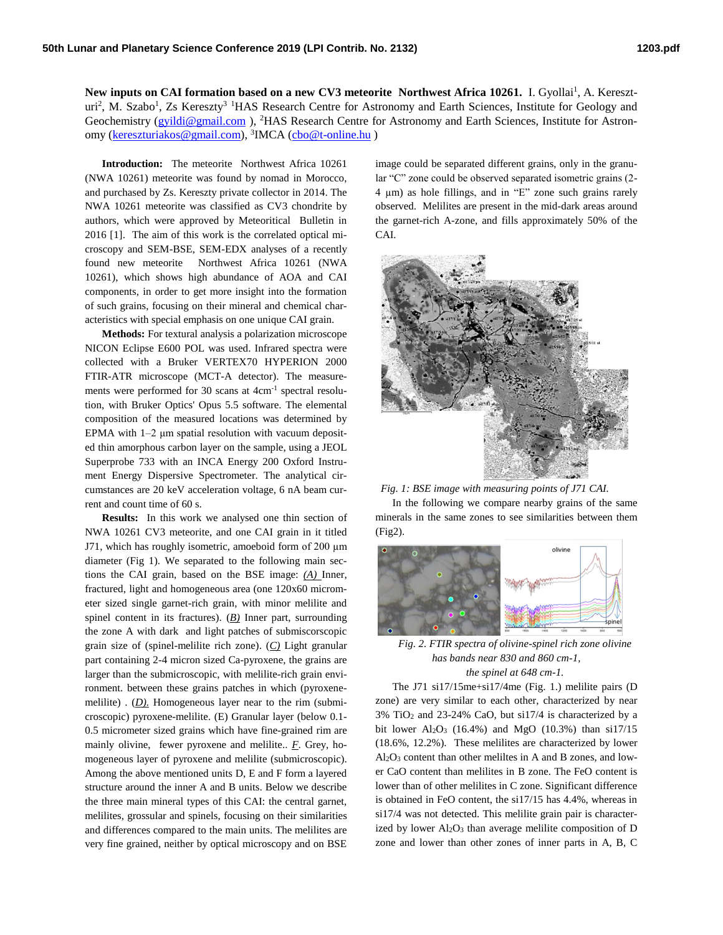New inputs on CAI formation based on a new CV3 meteorite Northwest Africa 10261. I. Gyollai<sup>1</sup>, A. Kereszturi<sup>2</sup>, M. Szabo<sup>1</sup>, Zs Kereszty<sup>3 1</sup>HAS Research Centre for Astronomy and Earth Sciences, Institute for Geology and Geochemistry (*gyildi@gmail.com*), <sup>2</sup>HAS Research Centre for Astronomy and Earth Sciences, Institute for Astron-omy [\(kereszturiakos@gmail.com\)](mailto:kereszturiakos@gmail.com), <sup>3</sup>IMCA [\(cbo@t-online.hu](mailto:cbo@t-online.hu))

**Introduction:** The meteorite Northwest Africa 10261 (NWA 10261) meteorite was found by nomad in Morocco, and purchased by Zs. Kereszty private collector in 2014. The NWA 10261 meteorite was classified as CV3 chondrite by authors, which were approved by Meteoritical Bulletin in 2016 [1]. The aim of this work is the correlated optical microscopy and SEM-BSE, SEM-EDX analyses of a recently found new meteorite Northwest Africa 10261 (NWA 10261), which shows high abundance of AOA and CAI components, in order to get more insight into the formation of such grains, focusing on their mineral and chemical characteristics with special emphasis on one unique CAI grain.

**Methods:** For textural analysis a polarization microscope NICON Eclipse E600 POL was used. Infrared spectra were collected with a Bruker VERTEX70 HYPERION 2000 FTIR-ATR microscope (MCT-A detector). The measurements were performed for 30 scans at 4cm<sup>-1</sup> spectral resolution, with Bruker Optics' Opus 5.5 software. The elemental composition of the measured locations was determined by EPMA with 1–2 μm spatial resolution with vacuum deposited thin amorphous carbon layer on the sample, using a JEOL Superprobe 733 with an INCA Energy 200 Oxford Instrument Energy Dispersive Spectrometer. The analytical circumstances are 20 keV acceleration voltage, 6 nA beam current and count time of 60 s.

**Results:** In this work we analysed one thin section of NWA 10261 CV3 meteorite, and one CAI grain in it titled J71, which has roughly isometric, amoeboid form of 200 µm diameter (Fig 1). We separated to the following main sections the CAI grain, based on the BSE image: *(A)* Inner, fractured, light and homogeneous area (one 120x60 micrometer sized single garnet-rich grain, with minor melilite and spinel content in its fractures). (*B)* Inner part, surrounding the zone A with dark and light patches of submiscorscopic grain size of (spinel-melilite rich zone). (*C)* Light granular part containing 2-4 micron sized Ca-pyroxene, the grains are larger than the submicroscopic, with melilite-rich grain environment. between these grains patches in which (pyroxenemelilite) . (*D*). Homogeneous layer near to the rim (submicroscopic) pyroxene-melilite. (E) Granular layer (below 0.1- 0.5 micrometer sized grains which have fine-grained rim are mainly olivine, fewer pyroxene and melilite.. *F*. Grey, homogeneous layer of pyroxene and melilite (submicroscopic). Among the above mentioned units D, E and F form a layered structure around the inner A and B units. Below we describe the three main mineral types of this CAI: the central garnet, melilites, grossular and spinels, focusing on their similarities and differences compared to the main units. The melilites are very fine grained, neither by optical microscopy and on BSE

image could be separated different grains, only in the granular "C" zone could be observed separated isometric grains (2- 4 µm) as hole fillings, and in "E" zone such grains rarely observed. Melilites are present in the mid-dark areas around the garnet-rich A-zone, and fills approximately 50% of the CAI.



*Fig. 1: BSE image with measuring points of J71 CAI.* In the following we compare nearby grains of the same minerals in the same zones to see similarities between them (Fig2).



*Fig. 2. FTIR spectra of olivine-spinel rich zone olivine has bands near 830 and 860 cm-1, the spinel at 648 cm-1.*

The J71 si17/15me+si17/4me (Fig. 1.) melilite pairs (D zone) are very similar to each other, characterized by near 3% TiO<sup>2</sup> and 23-24% CaO, but si17/4 is characterized by a bit lower Al<sub>2</sub>O<sub>3</sub> (16.4%) and MgO (10.3%) than si17/15 (18.6%, 12.2%). These melilites are characterized by lower Al2O<sup>3</sup> content than other meliltes in A and B zones, and lower CaO content than melilites in B zone. The FeO content is lower than of other melilites in C zone. Significant difference is obtained in FeO content, the si17/15 has 4.4%, whereas in si17/4 was not detected. This melilite grain pair is characterized by lower  $Al_2O_3$  than average melilite composition of D zone and lower than other zones of inner parts in A, B, C